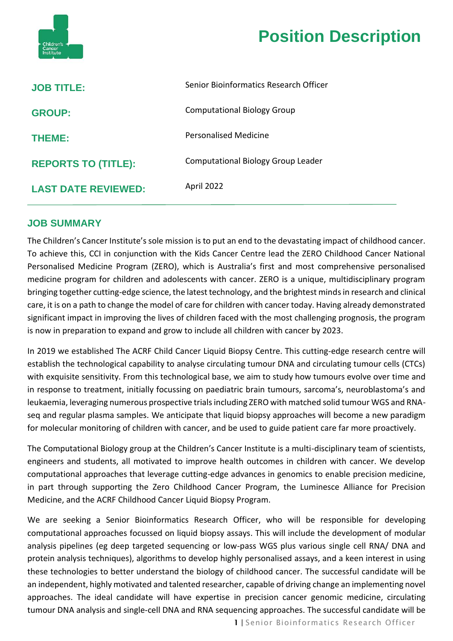

| <b>JOB TITLE:</b>          | Senior Bioinformatics Research Officer |
|----------------------------|----------------------------------------|
| <b>GROUP:</b>              | <b>Computational Biology Group</b>     |
| <b>THEME:</b>              | Personalised Medicine                  |
| <b>REPORTS TO (TITLE):</b> | Computational Biology Group Leader     |
| <b>LAST DATE REVIEWED:</b> | April 2022                             |

### **JOB SUMMARY**

The Children's Cancer Institute's sole mission is to put an end to the devastating impact of childhood cancer. To achieve this, CCI in conjunction with the Kids Cancer Centre lead the ZERO Childhood Cancer National Personalised Medicine Program (ZERO), which is Australia's first and most comprehensive personalised medicine program for children and adolescents with cancer. ZERO is a unique, multidisciplinary program bringing together cutting-edge science, the latest technology, and the brightest minds in research and clinical care, it is on a path to change the model of care for children with cancer today. Having already demonstrated significant impact in improving the lives of children faced with the most challenging prognosis, the program is now in preparation to expand and grow to include all children with cancer by 2023.

In 2019 we established The ACRF Child Cancer Liquid Biopsy Centre. This cutting-edge research centre will establish the technological capability to analyse circulating tumour DNA and circulating tumour cells (CTCs) with exquisite sensitivity. From this technological base, we aim to study how tumours evolve over time and in response to treatment, initially focussing on paediatric brain tumours, sarcoma's, neuroblastoma's and leukaemia, leveraging numerous prospective trials including ZERO with matched solid tumour WGS and RNAseq and regular plasma samples. We anticipate that liquid biopsy approaches will become a new paradigm for molecular monitoring of children with cancer, and be used to guide patient care far more proactively.

The Computational Biology group at the Children's Cancer Institute is a multi-disciplinary team of scientists, engineers and students, all motivated to improve health outcomes in children with cancer. We develop computational approaches that leverage cutting-edge advances in genomics to enable precision medicine, in part through supporting the Zero Childhood Cancer Program, the Luminesce Alliance for Precision Medicine, and the ACRF Childhood Cancer Liquid Biopsy Program.

We are seeking a Senior Bioinformatics Research Officer, who will be responsible for developing computational approaches focussed on liquid biopsy assays. This will include the development of modular analysis pipelines (eg deep targeted sequencing or low-pass WGS plus various single cell RNA/ DNA and protein analysis techniques), algorithms to develop highly personalised assays, and a keen interest in using these technologies to better understand the biology of childhood cancer. The successful candidate will be an independent, highly motivated and talented researcher, capable of driving change an implementing novel approaches. The ideal candidate will have expertise in precision cancer genomic medicine, circulating tumour DNA analysis and single-cell DNA and RNA sequencing approaches. The successful candidate will be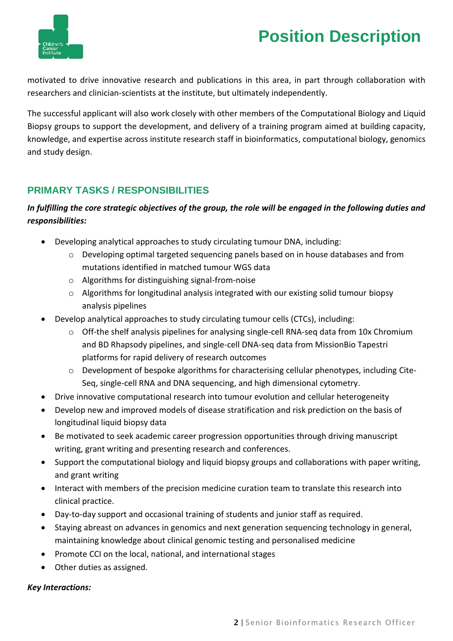

motivated to drive innovative research and publications in this area, in part through collaboration with researchers and clinician-scientists at the institute, but ultimately independently.

The successful applicant will also work closely with other members of the Computational Biology and Liquid Biopsy groups to support the development, and delivery of a training program aimed at building capacity, knowledge, and expertise across institute research staff in bioinformatics, computational biology, genomics and study design.

## **PRIMARY TASKS / RESPONSIBILITIES**

## *In fulfilling the core strategic objectives of the group, the role will be engaged in the following duties and responsibilities:*

- Developing analytical approaches to study circulating tumour DNA, including:
	- o Developing optimal targeted sequencing panels based on in house databases and from mutations identified in matched tumour WGS data
	- o Algorithms for distinguishing signal-from-noise
	- o Algorithms for longitudinal analysis integrated with our existing solid tumour biopsy analysis pipelines
- Develop analytical approaches to study circulating tumour cells (CTCs), including:
	- o Off-the shelf analysis pipelines for analysing single-cell RNA-seq data from 10x Chromium and BD Rhapsody pipelines, and single-cell DNA-seq data from MissionBio Tapestri platforms for rapid delivery of research outcomes
	- o Development of bespoke algorithms for characterising cellular phenotypes, including Cite-Seq, single-cell RNA and DNA sequencing, and high dimensional cytometry.
- Drive innovative computational research into tumour evolution and cellular heterogeneity
- Develop new and improved models of disease stratification and risk prediction on the basis of longitudinal liquid biopsy data
- Be motivated to seek academic career progression opportunities through driving manuscript writing, grant writing and presenting research and conferences.
- Support the computational biology and liquid biopsy groups and collaborations with paper writing, and grant writing
- Interact with members of the precision medicine curation team to translate this research into clinical practice.
- Day-to-day support and occasional training of students and junior staff as required.
- Staying abreast on advances in genomics and next generation sequencing technology in general, maintaining knowledge about clinical genomic testing and personalised medicine
- Promote CCI on the local, national, and international stages
- Other duties as assigned.

### *Key Interactions:*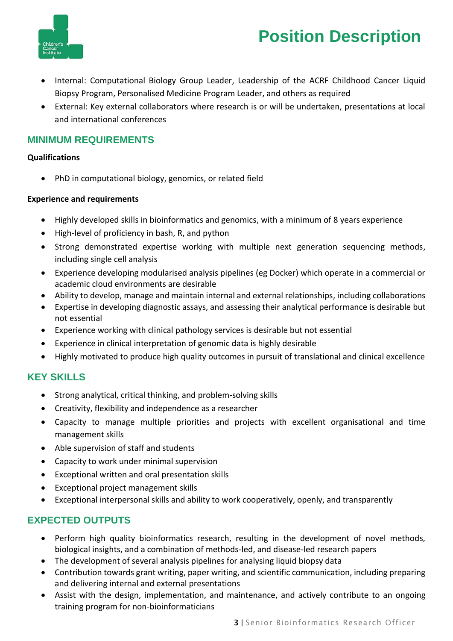

- Internal: Computational Biology Group Leader, Leadership of the ACRF Childhood Cancer Liquid Biopsy Program, Personalised Medicine Program Leader, and others as required
- External: Key external collaborators where research is or will be undertaken, presentations at local and international conferences

### **MINIMUM REQUIREMENTS**

#### **Qualifications**

• PhD in computational biology, genomics, or related field

#### **Experience and requirements**

- Highly developed skills in bioinformatics and genomics, with a minimum of 8 years experience
- High-level of proficiency in bash, R, and python
- Strong demonstrated expertise working with multiple next generation sequencing methods, including single cell analysis
- Experience developing modularised analysis pipelines (eg Docker) which operate in a commercial or academic cloud environments are desirable
- Ability to develop, manage and maintain internal and external relationships, including collaborations
- Expertise in developing diagnostic assays, and assessing their analytical performance is desirable but not essential
- Experience working with clinical pathology services is desirable but not essential
- Experience in clinical interpretation of genomic data is highly desirable
- Highly motivated to produce high quality outcomes in pursuit of translational and clinical excellence

## **KEY SKILLS**

- Strong analytical, critical thinking, and problem-solving skills
- Creativity, flexibility and independence as a researcher
- Capacity to manage multiple priorities and projects with excellent organisational and time management skills
- Able supervision of staff and students
- Capacity to work under minimal supervision
- Exceptional written and oral presentation skills
- Exceptional project management skills
- Exceptional interpersonal skills and ability to work cooperatively, openly, and transparently

## **EXPECTED OUTPUTS**

- Perform high quality bioinformatics research, resulting in the development of novel methods, biological insights, and a combination of methods-led, and disease-led research papers
- The development of several analysis pipelines for analysing liquid biopsy data
- Contribution towards grant writing, paper writing, and scientific communication, including preparing and delivering internal and external presentations
- Assist with the design, implementation, and maintenance, and actively contribute to an ongoing training program for non-bioinformaticians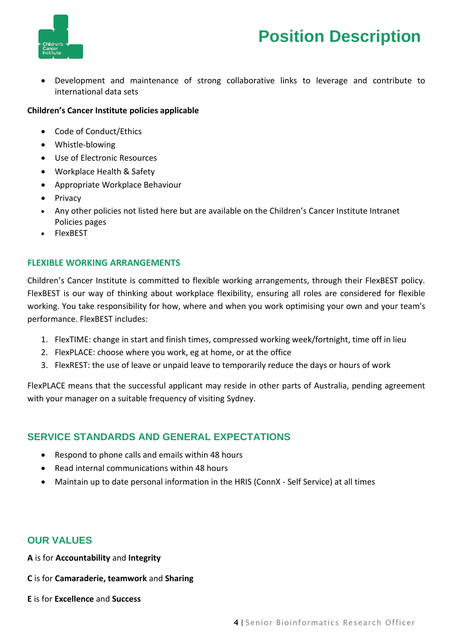

• Development and maintenance of strong collaborative links to leverage and contribute to international data sets

#### **Children's Cancer Institute policies applicable**

- Code of Conduct/Ethics
- Whistle-blowing
- Use of Electronic Resources
- Workplace Health & Safety
- Appropriate Workplace Behaviour
- Privacy
- Any other policies not listed here but are available on the Children's Cancer Institute Intranet Policies pages
- FlexBEST

#### **FLEXIBLE WORKING ARRANGEMENTS**

Children's Cancer Institute is committed to flexible working arrangements, through their FlexBEST policy. FlexBEST is our way of thinking about workplace flexibility, ensuring all roles are considered for flexible working. You take responsibility for how, where and when you work optimising your own and your team's performance. FlexBEST includes:

- 1. FlexTIME: change in start and finish times, compressed working week/fortnight, time off in lieu
- 2. FlexPLACE: choose where you work, eg at home, or at the office
- 3. FlexREST: the use of leave or unpaid leave to temporarily reduce the days or hours of work

FlexPLACE means that the successful applicant may reside in other parts of Australia, pending agreement with your manager on a suitable frequency of visiting Sydney.

## **SERVICE STANDARDS AND GENERAL EXPECTATIONS**

- Respond to phone calls and emails within 48 hours
- Read internal communications within 48 hours
- Maintain up to date personal information in the HRIS (ConnX Self Service) at all times

### **OUR VALUES**

**A** is for **Accountability** and **Integrity**

**C** is for **Camaraderie, teamwork** and **Sharing**

**E** is for **Excellence** and **Success**